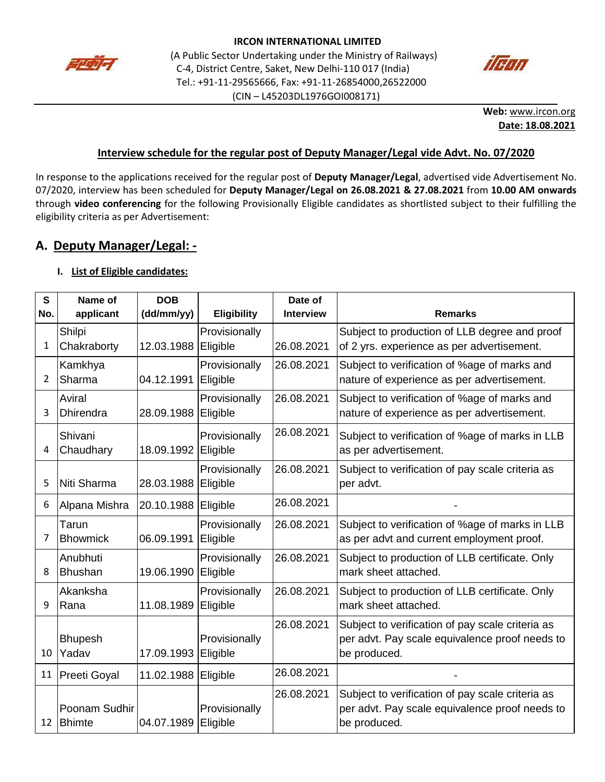



**Web:** [www.ircon.org](http://www.ircon.org/) **Date: 18.08.2021**

### **Interview schedule for the regular post of Deputy Manager/Legal vide Advt. No. 07/2020**

In response to the applications received for the regular post of **Deputy Manager/Legal**, advertised vide Advertisement No. 07/2020, interview has been scheduled for **Deputy Manager/Legal on 26.08.2021 & 27.08.2021** from **10.00 AM onwards** through **video conferencing** for the following Provisionally Eligible candidates as shortlisted subject to their fulfilling the eligibility criteria as per Advertisement:

## **A. Deputy Manager/Legal: -**

### **I. List of Eligible candidates:**

| S<br>No.       | Name of<br>applicant           | <b>DOB</b><br>(dd/mm/yy) | <b>Eligibility</b>        | Date of<br><b>Interview</b> | <b>Remarks</b>                                                                                                     |
|----------------|--------------------------------|--------------------------|---------------------------|-----------------------------|--------------------------------------------------------------------------------------------------------------------|
| 1              | Shilpi<br>Chakraborty          | 12.03.1988               | Provisionally<br>Eligible | 26.08.2021                  | Subject to production of LLB degree and proof<br>of 2 yrs. experience as per advertisement.                        |
| $\overline{2}$ | Kamkhya<br>Sharma              | 04.12.1991               | Provisionally<br>Eligible | 26.08.2021                  | Subject to verification of %age of marks and<br>nature of experience as per advertisement.                         |
| 3              | Aviral<br><b>Dhirendra</b>     | 28.09.1988               | Provisionally<br>Eligible | 26.08.2021                  | Subject to verification of %age of marks and<br>nature of experience as per advertisement.                         |
| 4              | Shivani<br>Chaudhary           | 18.09.1992               | Provisionally<br>Eligible | 26.08.2021                  | Subject to verification of %age of marks in LLB<br>as per advertisement.                                           |
| 5              | Niti Sharma                    | 28.03.1988               | Provisionally<br>Eligible | 26.08.2021                  | Subject to verification of pay scale criteria as<br>per advt.                                                      |
| 6              | Alpana Mishra                  | 20.10.1988               | Eligible                  | 26.08.2021                  |                                                                                                                    |
| 7              | Tarun<br><b>Bhowmick</b>       | 06.09.1991               | Provisionally<br>Eligible | 26.08.2021                  | Subject to verification of %age of marks in LLB<br>as per advt and current employment proof.                       |
| 8              | Anubhuti<br><b>Bhushan</b>     | 19.06.1990               | Provisionally<br>Eligible | 26.08.2021                  | Subject to production of LLB certificate. Only<br>mark sheet attached.                                             |
| q              | Akanksha<br>Rana               | 11.08.1989               | Provisionally<br>Eligible | 26.08.2021                  | Subject to production of LLB certificate. Only<br>mark sheet attached.                                             |
| 10             | <b>Bhupesh</b><br>Yadav        | 17.09.1993               | Provisionally<br>Eligible | 26.08.2021                  | Subject to verification of pay scale criteria as<br>per advt. Pay scale equivalence proof needs to<br>be produced. |
| 11             | Preeti Goyal                   | 11.02.1988               | Eligible                  | 26.08.2021                  |                                                                                                                    |
| 12             | Poonam Sudhir<br><b>Bhimte</b> | 04.07.1989               | Provisionally<br>Eligible | 26.08.2021                  | Subject to verification of pay scale criteria as<br>per advt. Pay scale equivalence proof needs to<br>be produced. |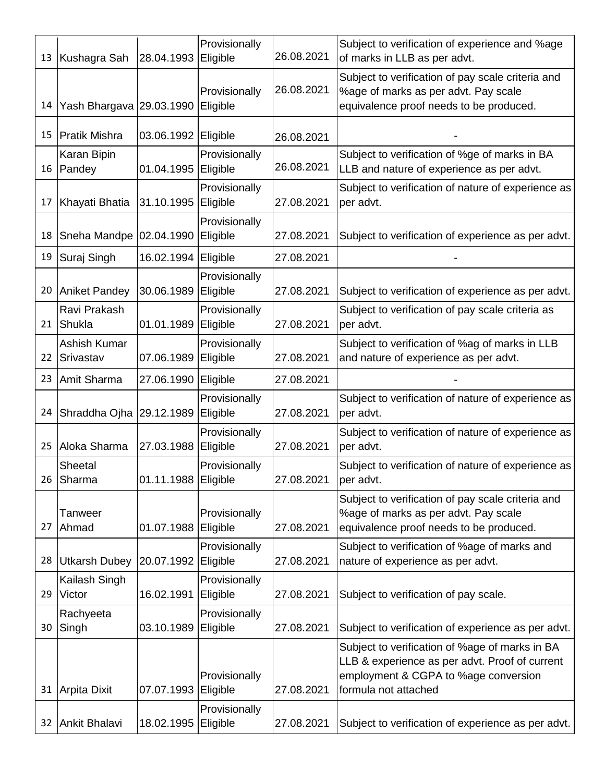| 13 | Kushagra Sah              | 28.04.1993          | Provisionally<br>Eligible | 26.08.2021 | Subject to verification of experience and %age<br>of marks in LLB as per advt.                                                       |  |
|----|---------------------------|---------------------|---------------------------|------------|--------------------------------------------------------------------------------------------------------------------------------------|--|
| 14 | Yash Bhargava 29.03.1990  |                     | Provisionally<br>Eligible | 26.08.2021 | Subject to verification of pay scale criteria and<br>%age of marks as per advt. Pay scale<br>equivalence proof needs to be produced. |  |
| 15 | <b>Pratik Mishra</b>      | 03.06.1992          | Eligible                  | 26.08.2021 |                                                                                                                                      |  |
| 16 | Karan Bipin<br>Pandey     | 01.04.1995          | Provisionally<br>Eligible | 26.08.2021 | Subject to verification of %ge of marks in BA<br>LLB and nature of experience as per advt.                                           |  |
| 17 | Khayati Bhatia            | 31.10.1995          | Provisionally<br>Eligible | 27.08.2021 | Subject to verification of nature of experience as<br>per advt.                                                                      |  |
| 18 | Sneha Mandpe              | 02.04.1990          | Provisionally<br>Eligible | 27.08.2021 | Subject to verification of experience as per advt.                                                                                   |  |
| 19 | Suraj Singh               | 16.02.1994          | Eligible                  | 27.08.2021 |                                                                                                                                      |  |
| 20 | <b>Aniket Pandey</b>      | 30.06.1989          | Provisionally<br>Eligible | 27.08.2021 | Subject to verification of experience as per advt.                                                                                   |  |
| 21 | Ravi Prakash<br>Shukla    | 01.01.1989          | Provisionally<br>Eligible | 27.08.2021 | Subject to verification of pay scale criteria as<br>per advt.                                                                        |  |
| 22 | Ashish Kumar<br>Srivastav | 07.06.1989          | Provisionally<br>Eligible | 27.08.2021 | Subject to verification of % ag of marks in LLB<br>and nature of experience as per advt.                                             |  |
| 23 | Amit Sharma               | 27.06.1990          | Eligible                  | 27.08.2021 |                                                                                                                                      |  |
| 24 | Shraddha Ojha             | 29.12.1989          | Provisionally<br>Eligible | 27.08.2021 | Subject to verification of nature of experience as<br>per advt.                                                                      |  |
| 25 | Aloka Sharma              | 27.03.1988          | Provisionally<br>Eligible | 27.08.2021 | Subject to verification of nature of experience as<br>per advt.                                                                      |  |
| 26 | Sheetal<br>Sharma         | 01.11.1988 Eligible | Provisionally             | 27.08.2021 | Subject to verification of nature of experience as<br>per advt.                                                                      |  |
| 27 | Tanweer<br>Ahmad          | 01.07.1988          | Provisionally<br>Eligible | 27.08.2021 | Subject to verification of pay scale criteria and<br>%age of marks as per advt. Pay scale<br>equivalence proof needs to be produced. |  |
| 28 | <b>Utkarsh Dubey</b>      | 20.07.1992          | Provisionally<br>Eligible | 27.08.2021 | Subject to verification of %age of marks and<br>nature of experience as per advt.                                                    |  |
| 29 | Kailash Singh<br>Victor   | 16.02.1991          | Provisionally<br>Eligible | 27.08.2021 | Subject to verification of pay scale.                                                                                                |  |
|    | Rachyeeta                 |                     | Provisionally             |            |                                                                                                                                      |  |
| 30 | Singh                     | 03.10.1989          | Eligible                  | 27.08.2021 | Subject to verification of experience as per advt.<br>Subject to verification of %age of marks in BA                                 |  |
|    |                           |                     |                           |            | LLB & experience as per advt. Proof of current                                                                                       |  |
| 31 | Arpita Dixit              | 07.07.1993          | Provisionally<br>Eligible | 27.08.2021 | employment & CGPA to %age conversion<br>formula not attached                                                                         |  |
| 32 | Ankit Bhalavi             | 18.02.1995          | Provisionally<br>Eligible | 27.08.2021 | Subject to verification of experience as per advt.                                                                                   |  |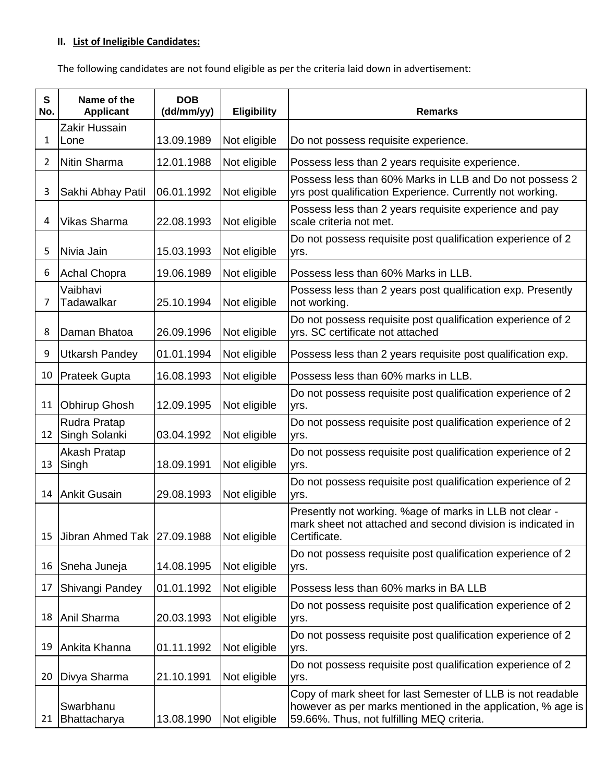# **II. List of Ineligible Candidates:**

The following candidates are not found eligible as per the criteria laid down in advertisement:

| $\mathbf{s}$<br>No. | Name of the<br><b>Applicant</b> | <b>DOB</b><br>(dd/mm/yy) | Eligibility  | <b>Remarks</b>                                                                                                                                                           |
|---------------------|---------------------------------|--------------------------|--------------|--------------------------------------------------------------------------------------------------------------------------------------------------------------------------|
| 1                   | Zakir Hussain<br>Lone           | 13.09.1989               | Not eligible | Do not possess requisite experience.                                                                                                                                     |
| 2                   | Nitin Sharma                    | 12.01.1988               | Not eligible | Possess less than 2 years requisite experience.                                                                                                                          |
| 3                   | Sakhi Abhay Patil               | 06.01.1992               | Not eligible | Possess less than 60% Marks in LLB and Do not possess 2<br>yrs post qualification Experience. Currently not working.                                                     |
| 4                   | <b>Vikas Sharma</b>             | 22.08.1993               | Not eligible | Possess less than 2 years requisite experience and pay<br>scale criteria not met.                                                                                        |
| 5                   | Nivia Jain                      | 15.03.1993               | Not eligible | Do not possess requisite post qualification experience of 2<br>yrs.                                                                                                      |
| 6                   | <b>Achal Chopra</b>             | 19.06.1989               | Not eligible | Possess less than 60% Marks in LLB.                                                                                                                                      |
| 7                   | Vaibhavi<br>Tadawalkar          | 25.10.1994               | Not eligible | Possess less than 2 years post qualification exp. Presently<br>not working.                                                                                              |
| 8                   | Daman Bhatoa                    | 26.09.1996               | Not eligible | Do not possess requisite post qualification experience of 2<br>yrs. SC certificate not attached                                                                          |
| 9                   | <b>Utkarsh Pandey</b>           | 01.01.1994               | Not eligible | Possess less than 2 years requisite post qualification exp.                                                                                                              |
| 10                  | <b>Prateek Gupta</b>            | 16.08.1993               | Not eligible | Possess less than 60% marks in LLB.                                                                                                                                      |
| 11                  | <b>Obhirup Ghosh</b>            | 12.09.1995               | Not eligible | Do not possess requisite post qualification experience of 2<br>yrs.                                                                                                      |
| 12                  | Rudra Pratap<br>Singh Solanki   | 03.04.1992               | Not eligible | Do not possess requisite post qualification experience of 2<br>yrs.                                                                                                      |
| 13                  | Akash Pratap<br>Singh           | 18.09.1991               | Not eligible | Do not possess requisite post qualification experience of 2<br>yrs.                                                                                                      |
| 14                  | <b>Ankit Gusain</b>             | 29.08.1993               | Not eligible | Do not possess requisite post qualification experience of 2<br>yrs.                                                                                                      |
| 15                  | Jibran Ahmed Tak                | 27.09.1988               | Not eligible | Presently not working. %age of marks in LLB not clear -<br>mark sheet not attached and second division is indicated in<br>Certificate.                                   |
| 16                  | Sneha Juneja                    | 14.08.1995               | Not eligible | Do not possess requisite post qualification experience of 2<br>yrs.                                                                                                      |
| 17                  | Shivangi Pandey                 | 01.01.1992               | Not eligible | Possess less than 60% marks in BA LLB                                                                                                                                    |
| 18                  | Anil Sharma                     | 20.03.1993               | Not eligible | Do not possess requisite post qualification experience of 2<br>yrs.                                                                                                      |
| 19                  | Ankita Khanna                   | 01.11.1992               | Not eligible | Do not possess requisite post qualification experience of 2<br>yrs.                                                                                                      |
| 20                  | Divya Sharma                    | 21.10.1991               | Not eligible | Do not possess requisite post qualification experience of 2<br>yrs.                                                                                                      |
| 21                  | Swarbhanu<br>Bhattacharya       | 13.08.1990               | Not eligible | Copy of mark sheet for last Semester of LLB is not readable<br>however as per marks mentioned in the application, % age is<br>59.66%. Thus, not fulfilling MEQ criteria. |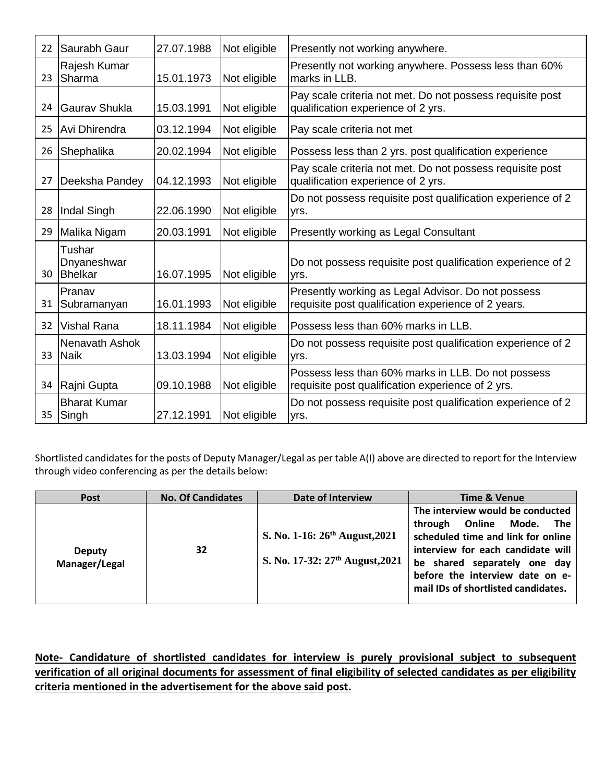| 22 | Saurabh Gaur                     | 27.07.1988 | Not eligible | Presently not working anywhere.                                                                           |  |
|----|----------------------------------|------------|--------------|-----------------------------------------------------------------------------------------------------------|--|
| 23 | Rajesh Kumar<br>Sharma           | 15.01.1973 | Not eligible | Presently not working anywhere. Possess less than 60%<br>marks in LLB.                                    |  |
| 24 | Gauray Shukla                    | 15.03.1991 | Not eligible | Pay scale criteria not met. Do not possess requisite post<br>qualification experience of 2 yrs.           |  |
| 25 | Avi Dhirendra                    | 03.12.1994 | Not eligible | Pay scale criteria not met                                                                                |  |
| 26 | Shephalika                       | 20.02.1994 | Not eligible | Possess less than 2 yrs. post qualification experience                                                    |  |
| 27 | Deeksha Pandey                   | 04.12.1993 | Not eligible | Pay scale criteria not met. Do not possess requisite post<br>qualification experience of 2 yrs.           |  |
| 28 | Indal Singh                      | 22.06.1990 | Not eligible | Do not possess requisite post qualification experience of 2<br>yrs.                                       |  |
| 29 | Malika Nigam                     | 20.03.1991 | Not eligible | Presently working as Legal Consultant                                                                     |  |
| 30 | Tushar<br>Dnyaneshwar<br>Bhelkar | 16.07.1995 | Not eligible | Do not possess requisite post qualification experience of 2<br>yrs.                                       |  |
| 31 | Pranav<br>Subramanyan            | 16.01.1993 | Not eligible | Presently working as Legal Advisor. Do not possess<br>requisite post qualification experience of 2 years. |  |
| 32 | <b>Vishal Rana</b>               | 18.11.1984 | Not eligible | Possess less than 60% marks in LLB.                                                                       |  |
| 33 | Nenavath Ashok<br><b>Naik</b>    | 13.03.1994 | Not eligible | Do not possess requisite post qualification experience of 2<br>yrs.                                       |  |
| 34 | Rajni Gupta                      | 09.10.1988 | Not eligible | Possess less than 60% marks in LLB. Do not possess<br>requisite post qualification experience of 2 yrs.   |  |
| 35 | <b>Bharat Kumar</b><br>Singh     | 27.12.1991 | Not eligible | Do not possess requisite post qualification experience of 2<br>yrs.                                       |  |

Shortlisted candidates for the posts of Deputy Manager/Legal as per table A(I) above are directed to report for the Interview through video conferencing as per the details below:

| <b>Post</b>                    | <b>No. Of Candidates</b> | Date of Interview                                                                  | <b>Time &amp; Venue</b>                                                                                                                                                                                                                           |
|--------------------------------|--------------------------|------------------------------------------------------------------------------------|---------------------------------------------------------------------------------------------------------------------------------------------------------------------------------------------------------------------------------------------------|
| <b>Deputy</b><br>Manager/Legal | 32                       | S. No. 1-16: $26^{th}$ August, 2021<br>S. No. 17-32: 27 <sup>th</sup> August, 2021 | The interview would be conducted<br>through Online Mode. The<br>scheduled time and link for online<br>interview for each candidate will<br>be shared separately one day<br>before the interview date on e-<br>mail IDs of shortlisted candidates. |

**Note- Candidature of shortlisted candidates for interview is purely provisional subject to subsequent verification of all original documents for assessment of final eligibility of selected candidates as per eligibility criteria mentioned in the advertisement for the above said post.**